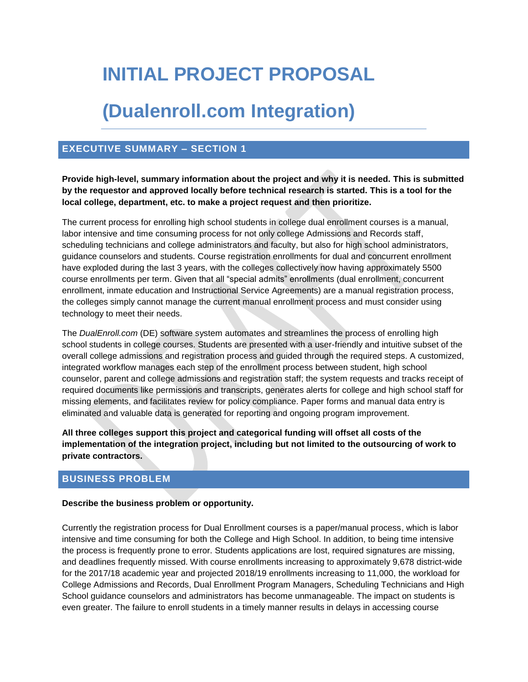# **INITIAL PROJECT PROPOSAL**

# **(Dualenroll.com Integration)**

## **EXECUTIVE SUMMARY – SECTION 1**

**Provide high-level, summary information about the project and why it is needed. This is submitted by the requestor and approved locally before technical research is started. This is a tool for the local college, department, etc. to make a project request and then prioritize.** 

The current process for enrolling high school students in college dual enrollment courses is a manual, labor intensive and time consuming process for not only college Admissions and Records staff, scheduling technicians and college administrators and faculty, but also for high school administrators, guidance counselors and students. Course registration enrollments for dual and concurrent enrollment have exploded during the last 3 years, with the colleges collectively now having approximately 5500 course enrollments per term. Given that all "special admits" enrollments (dual enrollment, concurrent enrollment, inmate education and Instructional Service Agreements) are a manual registration process, the colleges simply cannot manage the current manual enrollment process and must consider using technology to meet their needs.

The *DualEnroll.com* (DE) software system automates and streamlines the process of enrolling high school students in college courses. Students are presented with a user-friendly and intuitive subset of the overall college admissions and registration process and guided through the required steps. A customized, integrated workflow manages each step of the enrollment process between student, high school counselor, parent and college admissions and registration staff; the system requests and tracks receipt of required documents like permissions and transcripts, generates alerts for college and high school staff for missing elements, and facilitates review for policy compliance. Paper forms and manual data entry is eliminated and valuable data is generated for reporting and ongoing program improvement.

**All three colleges support this project and categorical funding will offset all costs of the implementation of the integration project, including but not limited to the outsourcing of work to private contractors.**

## **BUSINESS PROBLEM**

#### **Describe the business problem or opportunity.**

Currently the registration process for Dual Enrollment courses is a paper/manual process, which is labor intensive and time consuming for both the College and High School. In addition, to being time intensive the process is frequently prone to error. Students applications are lost, required signatures are missing, and deadlines frequently missed. With course enrollments increasing to approximately 9,678 district-wide for the 2017/18 academic year and projected 2018/19 enrollments increasing to 11,000, the workload for College Admissions and Records, Dual Enrollment Program Managers, Scheduling Technicians and High School guidance counselors and administrators has become unmanageable. The impact on students is even greater. The failure to enroll students in a timely manner results in delays in accessing course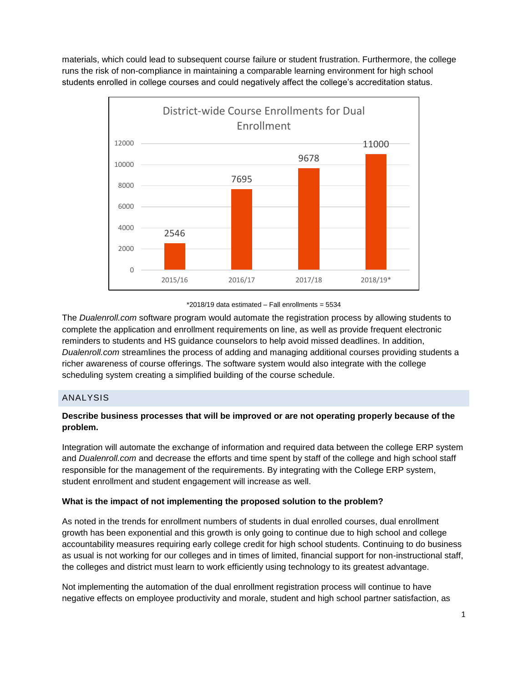materials, which could lead to subsequent course failure or student frustration. Furthermore, the college runs the risk of non-compliance in maintaining a comparable learning environment for high school students enrolled in college courses and could negatively affect the college's accreditation status.



\*2018/19 data estimated – Fall enrollments = 5534

The *Dualenroll.com* software program would automate the registration process by allowing students to complete the application and enrollment requirements on line, as well as provide frequent electronic reminders to students and HS guidance counselors to help avoid missed deadlines. In addition, *Dualenroll.com* streamlines the process of adding and managing additional courses providing students a richer awareness of course offerings. The software system would also integrate with the college scheduling system creating a simplified building of the course schedule.

#### ANALYSIS

## **Describe business processes that will be improved or are not operating properly because of the problem.**

Integration will automate the exchange of information and required data between the college ERP system and *Dualenroll.com* and decrease the efforts and time spent by staff of the college and high school staff responsible for the management of the requirements. By integrating with the College ERP system, student enrollment and student engagement will increase as well.

#### **What is the impact of not implementing the proposed solution to the problem?**

As noted in the trends for enrollment numbers of students in dual enrolled courses, dual enrollment growth has been exponential and this growth is only going to continue due to high school and college accountability measures requiring early college credit for high school students. Continuing to do business as usual is not working for our colleges and in times of limited, financial support for non-instructional staff, the colleges and district must learn to work efficiently using technology to its greatest advantage.

Not implementing the automation of the dual enrollment registration process will continue to have negative effects on employee productivity and morale, student and high school partner satisfaction, as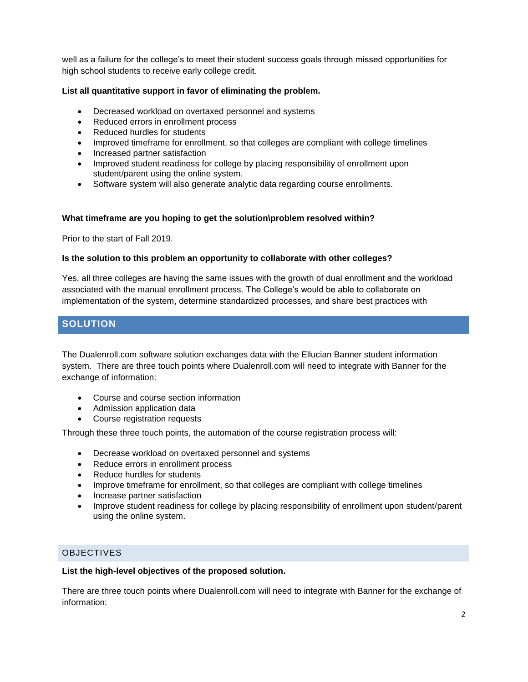well as a failure for the college's to meet their student success goals through missed opportunities for high school students to receive early college credit.

#### **List all quantitative support in favor of eliminating the problem.**

- Decreased workload on overtaxed personnel and systems
- Reduced errors in enrollment process
- Reduced hurdles for students
- Improved timeframe for enrollment, so that colleges are compliant with college timelines
- Increased partner satisfaction
- Improved student readiness for college by placing responsibility of enrollment upon student/parent using the online system.
- Software system will also generate analytic data regarding course enrollments.

#### **What timeframe are you hoping to get the solution\problem resolved within?**

Prior to the start of Fall 2019.

#### **Is the solution to this problem an opportunity to collaborate with other colleges?**

Yes, all three colleges are having the same issues with the growth of dual enrollment and the workload associated with the manual enrollment process. The College's would be able to collaborate on implementation of the system, determine standardized processes, and share best practices with

## **SOLUTION**

The Dualenroll.com software solution exchanges data with the Ellucian Banner student information system. There are three touch points where Dualenroll.com will need to integrate with Banner for the exchange of information:

- Course and course section information
- Admission application data
- Course registration requests

Through these three touch points, the automation of the course registration process will:

- Decrease workload on overtaxed personnel and systems
- Reduce errors in enrollment process
- Reduce hurdles for students
- Improve timeframe for enrollment, so that colleges are compliant with college timelines
- Increase partner satisfaction
- Improve student readiness for college by placing responsibility of enrollment upon student/parent using the online system.

## **OBJECTIVES**

#### **List the high-level objectives of the proposed solution.**

There are three touch points where Dualenroll.com will need to integrate with Banner for the exchange of information: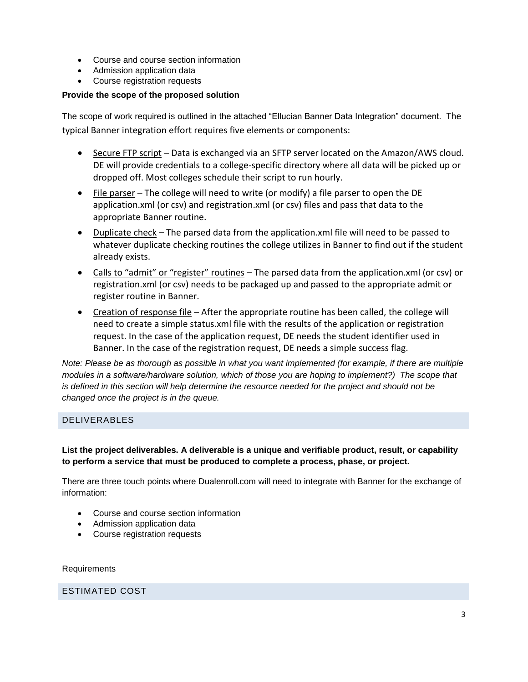- Course and course section information
- Admission application data
- Course registration requests

#### **Provide the scope of the proposed solution**

The scope of work required is outlined in the attached "Ellucian Banner Data Integration" document. The typical Banner integration effort requires five elements or components:

- Secure FTP script Data is exchanged via an SFTP server located on the Amazon/AWS cloud. DE will provide credentials to a college-specific directory where all data will be picked up or dropped off. Most colleges schedule their script to run hourly.
- File parser The college will need to write (or modify) a file parser to open the DE application.xml (or csv) and registration.xml (or csv) files and pass that data to the appropriate Banner routine.
- Duplicate check The parsed data from the application.xml file will need to be passed to whatever duplicate checking routines the college utilizes in Banner to find out if the student already exists.
- Calls to "admit" or "register" routines The parsed data from the application.xml (or csv) or registration.xml (or csv) needs to be packaged up and passed to the appropriate admit or register routine in Banner.
- Creation of response file After the appropriate routine has been called, the college will need to create a simple status.xml file with the results of the application or registration request. In the case of the application request, DE needs the student identifier used in Banner. In the case of the registration request, DE needs a simple success flag.

*Note: Please be as thorough as possible in what you want implemented (for example, if there are multiple modules in a software/hardware solution, which of those you are hoping to implement?) The scope that is defined in this section will help determine the resource needed for the project and should not be changed once the project is in the queue.*

#### DELIVERABLES

## **List the project deliverables. A deliverable is a unique and verifiable product, result, or capability to perform a service that must be produced to complete a process, phase, or project.**

There are three touch points where Dualenroll.com will need to integrate with Banner for the exchange of information:

- Course and course section information
- Admission application data
- Course registration requests

Requirements

ESTIMATED COST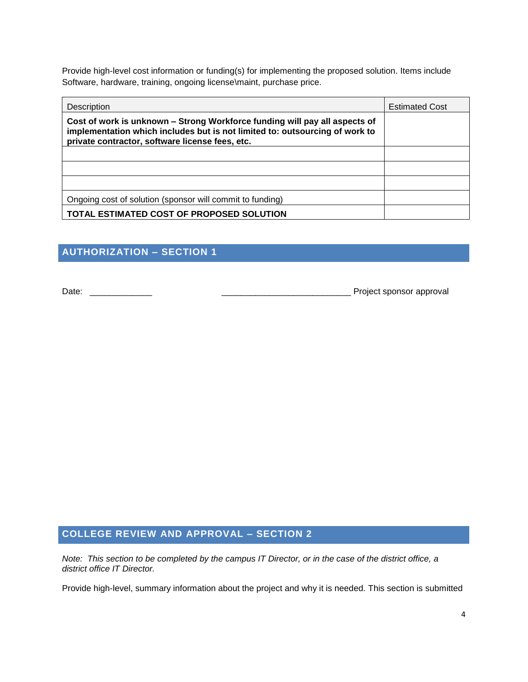Provide high-level cost information or funding(s) for implementing the proposed solution. Items include Software, hardware, training, ongoing license\maint, purchase price.

| Description                                                                                                                                                                                                  | <b>Estimated Cost</b> |
|--------------------------------------------------------------------------------------------------------------------------------------------------------------------------------------------------------------|-----------------------|
| Cost of work is unknown – Strong Workforce funding will pay all aspects of<br>implementation which includes but is not limited to: outsourcing of work to<br>private contractor, software license fees, etc. |                       |
|                                                                                                                                                                                                              |                       |
|                                                                                                                                                                                                              |                       |
|                                                                                                                                                                                                              |                       |
| Ongoing cost of solution (sponsor will commit to funding)                                                                                                                                                    |                       |
| TOTAL ESTIMATED COST OF PROPOSED SOLUTION                                                                                                                                                                    |                       |

# **AUTHORIZATION – SECTION 1**

Date: \_\_\_\_\_\_\_\_\_\_\_\_\_ \_\_\_\_\_\_\_\_\_\_\_\_\_\_\_\_\_\_\_\_\_\_\_\_\_\_\_ Project sponsor approval

# **COLLEGE REVIEW AND APPROVAL – SECTION 2**

*Note: This section to be completed by the campus IT Director, or in the case of the district office, a district office IT Director.*

Provide high-level, summary information about the project and why it is needed. This section is submitted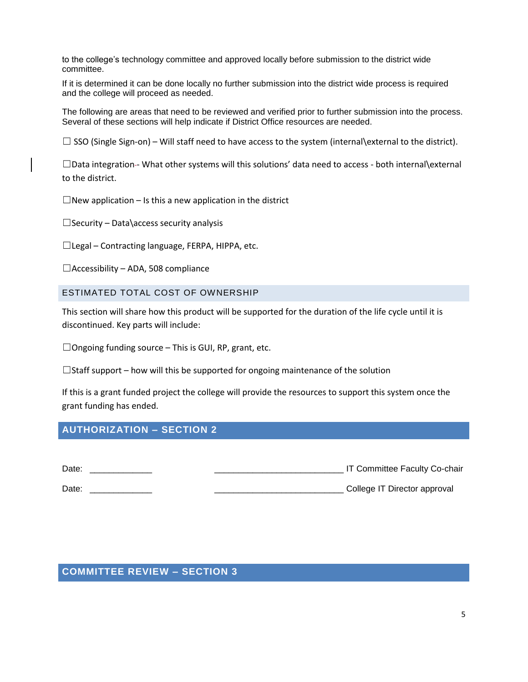to the college's technology committee and approved locally before submission to the district wide committee.

If it is determined it can be done locally no further submission into the district wide process is required and the college will proceed as needed.

The following are areas that need to be reviewed and verified prior to further submission into the process. Several of these sections will help indicate if District Office resources are needed.

 $\Box$  SSO (Single Sign-on) – Will staff need to have access to the system (internal\external to the district).

□Data integration-- What other systems will this solutions' data need to access - both internal\external to the district.

 $\Box$ New application – Is this a new application in the district

 $\square$  Security – Data\access security analysis

 $\Box$ Legal – Contracting language, FERPA, HIPPA, etc.

 $\Box$ Accessibility – ADA, 508 compliance

#### ESTIMATED TOTAL COST OF OWNERSHIP

This section will share how this product will be supported for the duration of the life cycle until it is discontinued. Key parts will include:

 $\Box$ Ongoing funding source – This is GUI, RP, grant, etc.

 $\Box$ Staff support – how will this be supported for ongoing maintenance of the solution

If this is a grant funded project the college will provide the resources to support this system once the grant funding has ended.

## **AUTHORIZATION – SECTION 2**

Date: \_\_\_\_\_\_\_\_\_\_\_\_\_ \_\_\_\_\_\_\_\_\_\_\_\_\_\_\_\_\_\_\_\_\_\_\_\_\_\_\_ IT Committee Faculty Co-chair Date: \_\_\_\_\_\_\_\_\_\_\_\_\_ \_\_\_\_\_\_\_\_\_\_\_\_\_\_\_\_\_\_\_\_\_\_\_\_\_\_\_ College IT Director approval

**COMMITTEE REVIEW – SECTION 3**